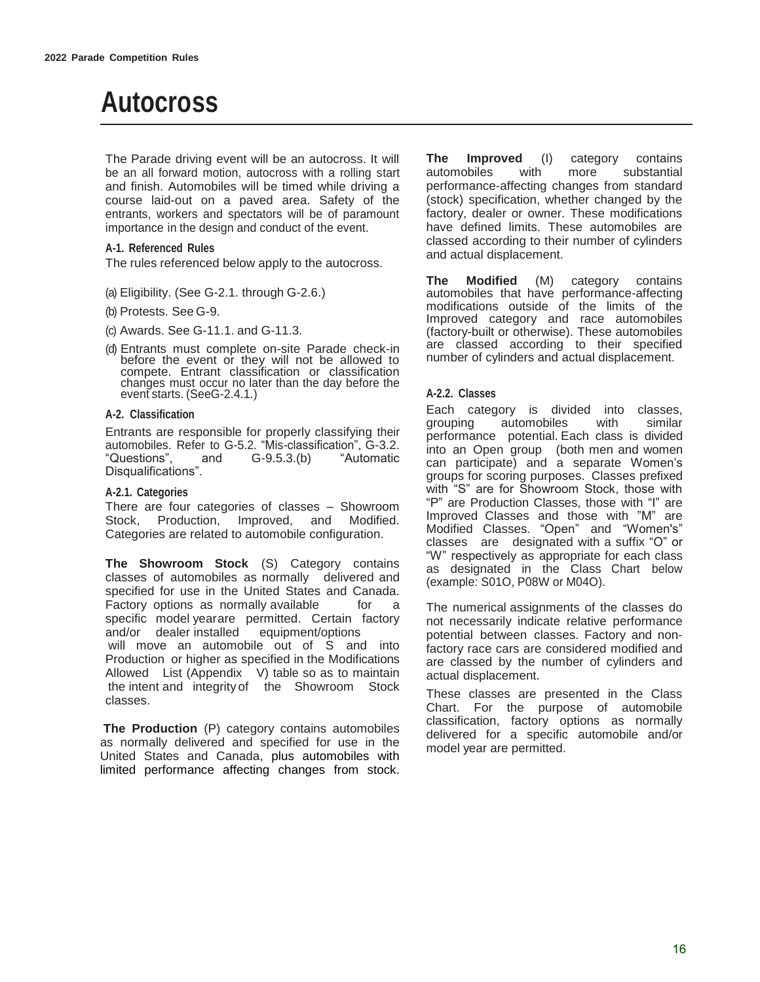# **Autocross**

The Parade driving event will be an autocross. It will be an all forward motion, autocross with a rolling start and finish. Automobiles will be timed while driving a course laid-out on a paved area. Safety of the entrants, workers and spectators will be of paramount importance in the design and conduct of the event.

#### **A-1. Referenced Rules**

The rules referenced below apply to the autocross.

- (a) Eligibility. (See G-2.1. through G-2.6.)
- (b) Protests. See G-9.
- (c) Awards. See G-11.1. and G-11.3.
- (d) Entrants must complete on-site Parade check-in before the event or they will not be allowed to compete. Entrant classification or classification changes must occur no later than the day before the event starts. (SeeG-2.4.1.)

#### **A-2. Classification**

Entrants are responsible for properly classifying their automobiles. Refer to G-5.2. "Mis-classification", G-3.2. "Questions", and G-9.5.3.(b) "Automatic Disqualifications".

#### **A-2.1. Categories**

There are four categories of classes – Showroom Stock, Production, Improved, and Modified. Categories are related to automobile configuration.

**The Showroom Stock** (S) Category contains classes of automobiles as normally delivered and specified for use in the United States and Canada. Factory options as normally available for a specific model year are permitted. Certain factory and/or dealer installed equipment/options will move an automobile out of S and into Production or higher as specified in the Modifications Allowed List  $(A$ ppendix  $\vee$ ) table so as to maintain the intent and integrity of the Showroom Stock classes.

 **The Production** (P) category contains automobiles as normally delivered and specified for use in the United States and Canada, plus automobiles with limited performance affecting changes from stock.

**The Improved** (I) category contains automobiles with more substantial performance-affecting changes from standard (stock) specification, whether changed by the factory, dealer or owner. These modifications have defined limits. These automobiles are classed according to their number of cylinders and actual displacement.

**The Modified** (M) category contains automobiles that have performance-affecting modifications outside of the limits of the Improved category and race automobiles (factory-built or otherwise). These automobiles are classed according to their specified number of cylinders and actual displacement.

#### **A-2.2. Classes**

Each category is divided into classes, grouping automobiles with similar performance potential. Each class is divided into an Open group (both men and women can participate) and a separate Women's groups for scoring purposes. Classes prefixed with "S" are for Showroom Stock, those with "P" are Production Classes, those with "I" are Improved Classes and those with "M" are Modified Classes. "Open" and "Women's" classes are designated with a suffix "O" or "W" respectively as appropriate for each class as designated in the Class Chart below (example: S01O, P08W or M04O).

The numerical assignments of the classes do not necessarily indicate relative performance potential between classes. Factory and nonfactory race cars are considered modified and are classed by the number of cylinders and actual displacement.

These classes are presented in the Class Chart. For the purpose of automobile classification, factory options as normally delivered for a specific automobile and/or model year are permitted.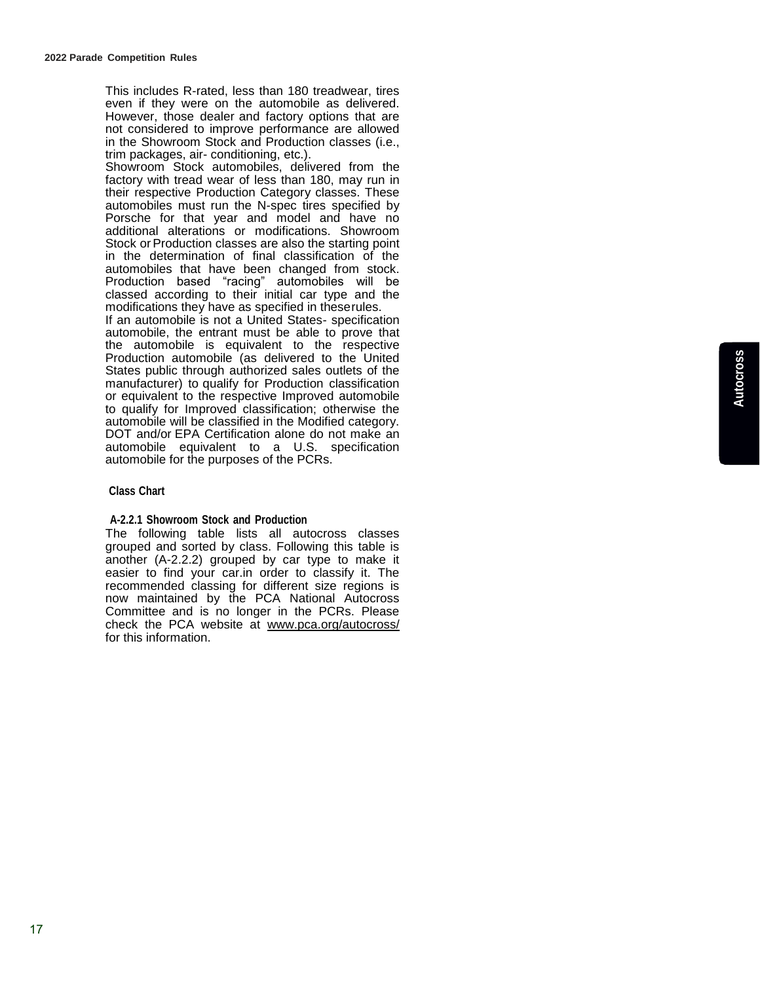This includes R-rated, less than 180 treadwear, tires even if they were on the automobile as delivered. However, those dealer and factory options that are not considered to improve performance are allowed in the Showroom Stock and Production classes (i.e., trim packages, air- conditioning, etc.).

Showroom Stock automobiles, delivered from the factory with tread wear of less than 180, may run in their respective Production Category classes. These automobiles must run the N-spec tires specified by Porsche for that year and model and have no additional alterations or modifications. Showroom Stock or Production classes are also the starting point in the determination of final classification of the automobiles that have been changed from stock. Production based "racing" automobiles will be classed according to their initial car type and the modifications they have as specified in these rules.

If an automobile is not a United States- specification automobile, the entrant must be able to prove that the automobile is equivalent to the respective Production automobile (as delivered to the United States public through authorized sales outlets of the manufacturer) to qualify for Production classification or equivalent to the respective Improved automobile to qualify for Improved classification; otherwise the automobile will be classified in the Modified category. DOT and/or EPA Certification alone do not make an automobile equivalent to a U.S. specification automobile for the purposes of the PCRs.

#### **Class Chart**

#### **A-2.2.1 Showroom Stock and Production**

The following table lists all autocross classes grouped and sorted by class. Following this table is another (A-2.2.2) grouped by car type to make it easier to find your car.in order to classify it. The recommended classing for different size regions is now maintained by the PCA National Autocross Committee and is no longer in the PCRs. Please check the PCA website at www.pca.org/autocross/ for this information.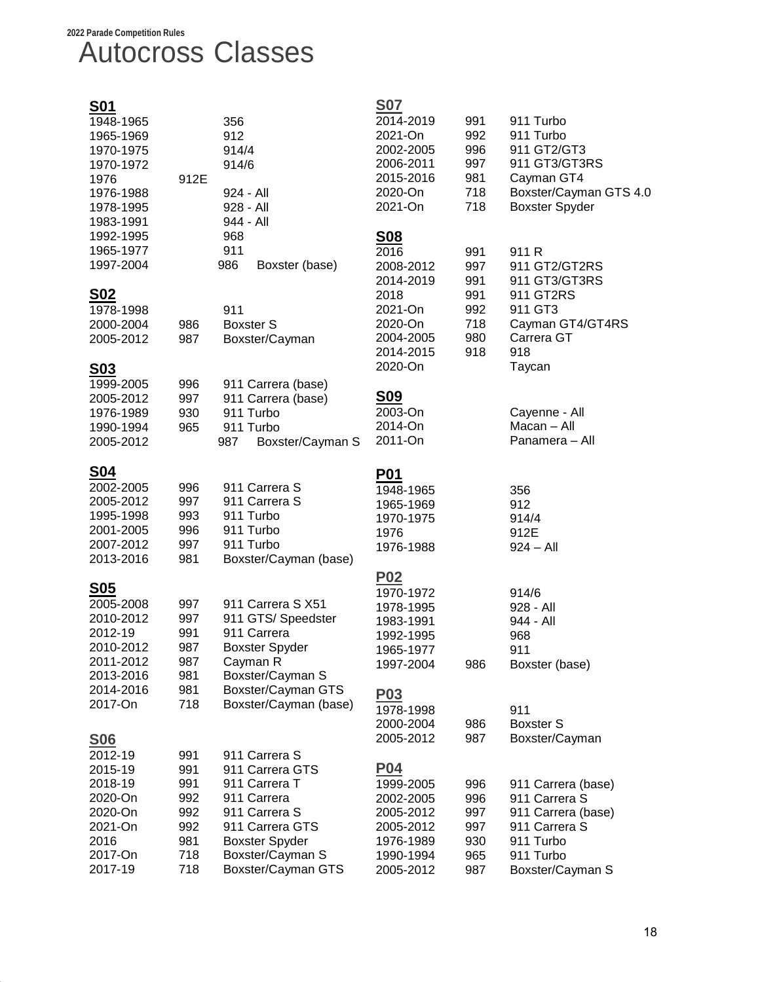# **2022 Parade Competition Rules**  Autocross Classes

| <u>S01</u><br>1948-1965<br>1965-1969<br>1970-1975<br>1970-1972<br>1976<br>1976-1988<br>1978-1995<br>1983-1991         | 912E                                                        | 356<br>912<br>914/4<br>914/6<br>924 - All<br>928 - All<br>944 - All                                                                                                     | <b>S07</b><br>2014-2019<br>2021-On<br>2002-2005<br>2006-2011<br>2015-2016<br>2020-On<br>2021-On                                 | 991<br>992<br>996<br>997<br>981<br>718<br>718               | 911 Turbo<br>911 Turbo<br>911 GT2/GT3<br>911 GT3/GT3RS<br>Cayman GT4<br>Boxster/Cayman GTS 4.0<br><b>Boxster Spyder</b>                                        |
|-----------------------------------------------------------------------------------------------------------------------|-------------------------------------------------------------|-------------------------------------------------------------------------------------------------------------------------------------------------------------------------|---------------------------------------------------------------------------------------------------------------------------------|-------------------------------------------------------------|----------------------------------------------------------------------------------------------------------------------------------------------------------------|
| 1992-1995<br>1965-1977<br>1997-2004                                                                                   |                                                             | 968<br>911<br>986<br>Boxster (base)                                                                                                                                     | <u>S08</u><br>2016<br>2008-2012<br>2014-2019                                                                                    | 991<br>997<br>991                                           | 911 R<br>911 GT2/GT2RS<br>911 GT3/GT3RS                                                                                                                        |
| <u>SO2</u><br>1978-1998<br>2000-2004<br>2005-2012<br><u>S03</u>                                                       | 986<br>987                                                  | 911<br><b>Boxster S</b><br>Boxster/Cayman                                                                                                                               | 2018<br>2021-On<br>2020-On<br>2004-2005<br>2014-2015<br>2020-On                                                                 | 991<br>992<br>718<br>980<br>918                             | 911 GT2RS<br>911 GT3<br>Cayman GT4/GT4RS<br>Carrera GT<br>918<br>Taycan                                                                                        |
| 1999-2005<br>2005-2012<br>1976-1989<br>1990-1994<br>2005-2012                                                         | 996<br>997<br>930<br>965                                    | 911 Carrera (base)<br>911 Carrera (base)<br>911 Turbo<br>911 Turbo<br>Boxster/Cayman S<br>987                                                                           | <b>S09</b><br>2003-On<br>2014-On<br>2011-On                                                                                     |                                                             | Cayenne - All<br>Macan - All<br>Panamera - All                                                                                                                 |
| <u>S04</u><br>2002-2005<br>2005-2012<br>1995-1998<br>2001-2005<br>2007-2012<br>2013-2016                              | 996<br>997<br>993<br>996<br>997<br>981                      | 911 Carrera S<br>911 Carrera S<br>911 Turbo<br>911 Turbo<br>911 Turbo<br>Boxster/Cayman (base)                                                                          | <b>P01</b><br>1948-1965<br>1965-1969<br>1970-1975<br>1976<br>1976-1988                                                          |                                                             | 356<br>912<br>914/4<br>912E<br>$924 - All$                                                                                                                     |
| <u>S05</u><br>2005-2008<br>2010-2012<br>2012-19<br>2010-2012<br>2011-2012<br>2013-2016<br>2014-2016<br>2017-On        | 997<br>997<br>991<br>987<br>987<br>981<br>981<br>718        | 911 Carrera S X51<br>911 GTS/ Speedster<br>911 Carrera<br><b>Boxster Spyder</b><br>Cayman R<br>Boxster/Cayman S<br>Boxster/Cayman GTS<br>Boxster/Cayman (base)          | <u>P02</u><br>1970-1972<br>1978-1995<br>1983-1991<br>1992-1995<br>1965-1977<br>1997-2004<br><b>P03</b><br>1978-1998             | 986                                                         | 914/6<br>928 - All<br>944 - All<br>968<br>911<br>Boxster (base)<br>911                                                                                         |
| <u>S<sub>06</sub></u><br>2012-19<br>2015-19<br>2018-19<br>2020-On<br>2020-On<br>2021-On<br>2016<br>2017-On<br>2017-19 | 991<br>991<br>991<br>992<br>992<br>992<br>981<br>718<br>718 | 911 Carrera S<br>911 Carrera GTS<br>911 Carrera T<br>911 Carrera<br>911 Carrera S<br>911 Carrera GTS<br><b>Boxster Spyder</b><br>Boxster/Cayman S<br>Boxster/Cayman GTS | 2000-2004<br>2005-2012<br><b>P04</b><br>1999-2005<br>2002-2005<br>2005-2012<br>2005-2012<br>1976-1989<br>1990-1994<br>2005-2012 | 986<br>987<br>996<br>996<br>997<br>997<br>930<br>965<br>987 | <b>Boxster S</b><br>Boxster/Cayman<br>911 Carrera (base)<br>911 Carrera S<br>911 Carrera (base)<br>911 Carrera S<br>911 Turbo<br>911 Turbo<br>Boxster/Cayman S |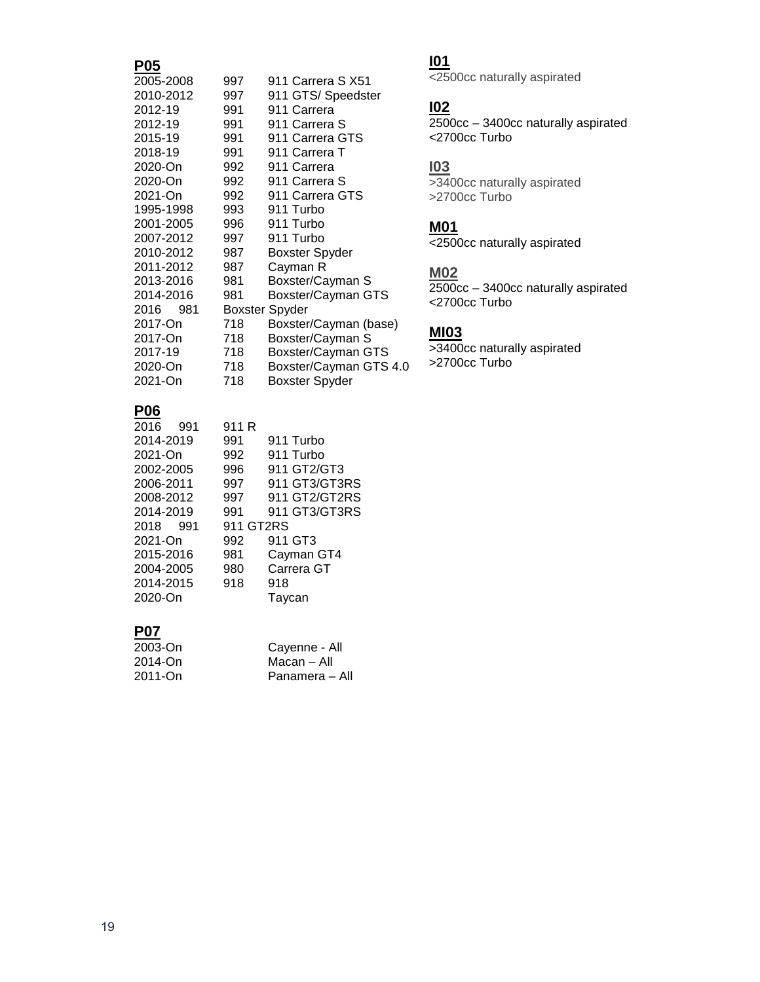## **P05**

| . vv        |                       |                        |
|-------------|-----------------------|------------------------|
| 2005-2008   | 997                   | 911 Carrera S X51      |
| 2010-2012   | 997                   | 911 GTS/ Speedster     |
| 2012-19     | 991                   | 911 Carrera            |
| 2012-19     | 991                   | 911 Carrera S          |
| 2015-19     | 991                   | 911 Carrera GTS        |
| 2018-19     | 991                   | 911 Carrera T          |
| 2020-On     | 992                   | 911 Carrera            |
| 2020-On     | 992                   | 911 Carrera S          |
| 2021-On     | 992                   | 911 Carrera GTS        |
| 1995-1998   | 993                   | 911 Turbo              |
| 2001-2005   | 996                   | 911 Turbo              |
| 2007-2012   | 997                   | 911 Turbo              |
| 2010-2012   | 987                   | <b>Boxster Spyder</b>  |
| 2011-2012   | 987                   | Cayman R               |
| 2013-2016   | 981                   | Boxster/Cayman S       |
| 2014-2016   | 981                   | Boxster/Cayman GTS     |
| 2016<br>981 | <b>Boxster Spyder</b> |                        |
| 2017-On     | 718                   | Boxster/Cayman (base)  |
| 2017-On     | 718                   | Boxster/Cayman S       |
| 2017-19     | 718                   | Boxster/Cayman GTS     |
| 2020-On     | 718                   | Boxster/Cayman GTS 4.0 |
| 2021-On     | 718                   | <b>Boxster Spyder</b>  |
|             |                       |                        |

# **P06**

| 911 R |               |
|-------|---------------|
| 991   | 911 Turbo     |
| 992   | 911 Turbo     |
| 996   | 911 GT2/GT3   |
| 997   | 911 GT3/GT3RS |
| 997   | 911 GT2/GT2RS |
| 991   | 911 GT3/GT3RS |
|       | 911 GT2RS     |
| 992   | 911 GT3       |
| 981   | Cayman GT4    |
| 980   | Carrera GT    |
| 918   | 918           |
|       | Taycan        |
|       |               |

# **P07**

| 2003-On | Cayenne - All  |
|---------|----------------|
| 2014-On | Macan – All    |
| 2011-On | Panamera – All |

# **I01**

<2500cc naturally aspirated

# **I02**

2500cc – 3400cc naturally aspirated <2700cc Turbo

### **I03**

>3400cc naturally aspirated >2700cc Turbo

#### **M01**

<2500cc naturally aspirated

### **M02**

2500cc – 3400cc naturally aspirated <2700cc Turbo

## **MI03**

>3400cc naturally aspirated >2700cc Turbo